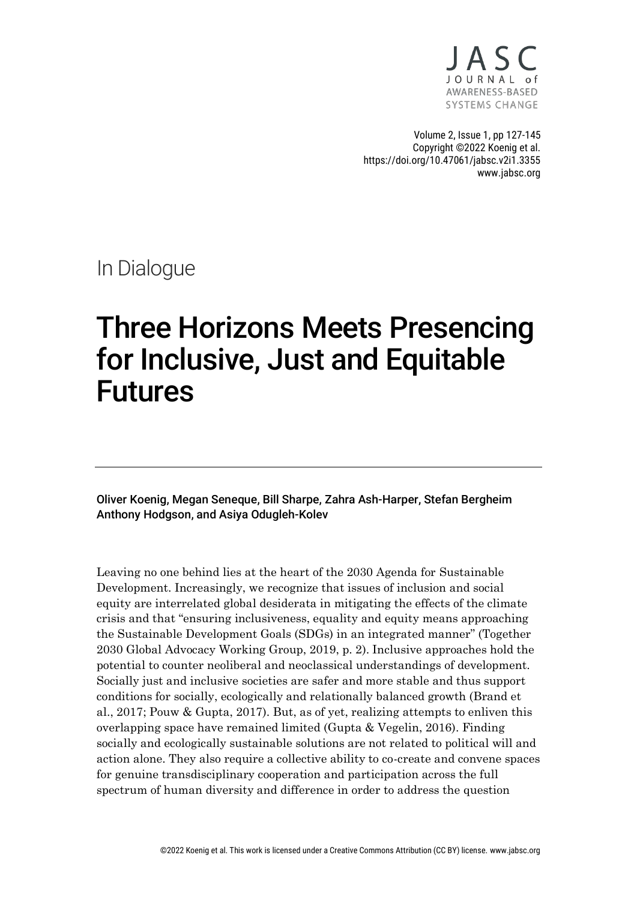

Volume 2, Issue 1, pp 127-145 Copyright ©2022 Koenig et al. https://doi.org/10.47061/jabsc.v2i1.3355 www.jabsc.org

In Dialogue

# Three Horizons Meets Presencing for Inclusive, Just and Equitable Futures

Oliver Koenig, Megan Seneque, Bill Sharpe, Zahra Ash-Harper, Stefan Bergheim Anthony Hodgson, and Asiya Odugleh-Kolev

Leaving no one behind lies at the heart of the 2030 Agenda for Sustainable Development. Increasingly, we recognize that issues of inclusion and social equity are interrelated global desiderata in mitigating the effects of the climate crisis and that "ensuring inclusiveness, equality and equity means approaching the Sustainable Development Goals (SDGs) in an integrated manner" (Together 2030 Global Advocacy Working Group, 2019, p. 2). Inclusive approaches hold the potential to counter neoliberal and neoclassical understandings of development. Socially just and inclusive societies are safer and more stable and thus support conditions for socially, ecologically and relationally balanced growth (Brand et al., 2017; Pouw & Gupta, 2017). But, as of yet, realizing attempts to enliven this overlapping space have remained limited (Gupta & Vegelin, 2016). Finding socially and ecologically sustainable solutions are not related to political will and action alone. They also require a collective ability to co-create and convene spaces for genuine transdisciplinary cooperation and participation across the full spectrum of human diversity and difference in order to address the question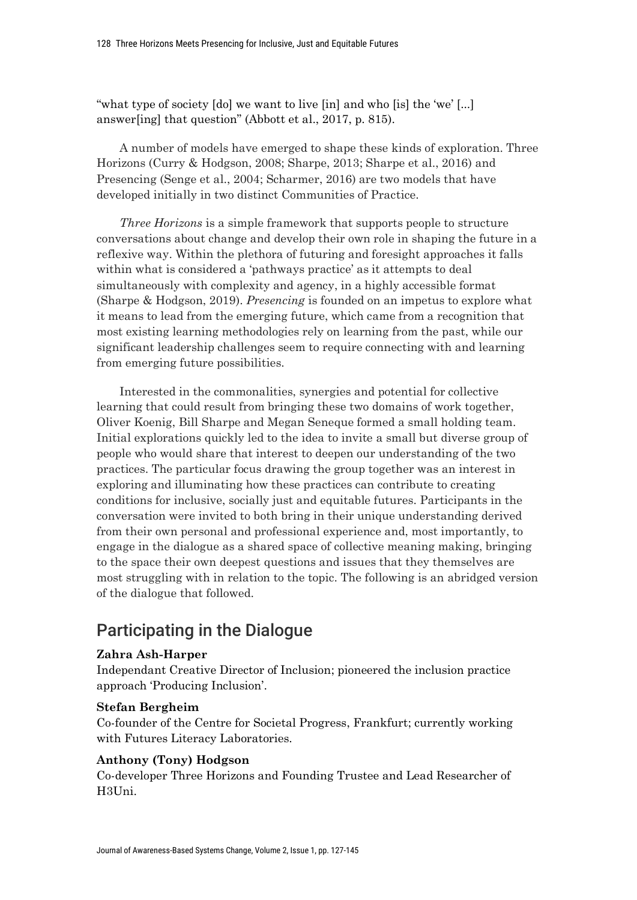"what type of society [do] we want to live [in] and who [is] the 'we' [...] answer[ing] that question" (Abbott et al., 2017, p. 815).

A number of models have emerged to shape these kinds of exploration. Three Horizons (Curry & Hodgson, 2008; Sharpe, 2013; Sharpe et al., 2016) and Presencing (Senge et al., 2004; Scharmer, 2016) are two models that have developed initially in two distinct Communities of Practice.

*Three Horizons* is a simple framework that supports people to structure conversations about change and develop their own role in shaping the future in a reflexive way. Within the plethora of futuring and foresight approaches it falls within what is considered a 'pathways practice' as it attempts to deal simultaneously with complexity and agency, in a highly accessible format (Sharpe & Hodgson, 2019). *Presencing* is founded on an impetus to explore what it means to lead from the emerging future, which came from a recognition that most existing learning methodologies rely on learning from the past, while our significant leadership challenges seem to require connecting with and learning from emerging future possibilities.

Interested in the commonalities, synergies and potential for collective learning that could result from bringing these two domains of work together, Oliver Koenig, Bill Sharpe and Megan Seneque formed a small holding team. Initial explorations quickly led to the idea to invite a small but diverse group of people who would share that interest to deepen our understanding of the two practices. The particular focus drawing the group together was an interest in exploring and illuminating how these practices can contribute to creating conditions for inclusive, socially just and equitable futures. Participants in the conversation were invited to both bring in their unique understanding derived from their own personal and professional experience and, most importantly, to engage in the dialogue as a shared space of collective meaning making, bringing to the space their own deepest questions and issues that they themselves are most struggling with in relation to the topic. The following is an abridged version of the dialogue that followed.

# Participating in the Dialogue

### **Zahra Ash-Harper**

Independant Creative Director of Inclusion; pioneered the inclusion practice approach 'Producing Inclusion'.

### **Stefan Bergheim**

Co-founder of the Centre for Societal Progress, Frankfurt; currently working with Futures Literacy Laboratories.

### **Anthony (Tony) Hodgson**

Co-developer Three Horizons and Founding Trustee and Lead Researcher of H3Uni.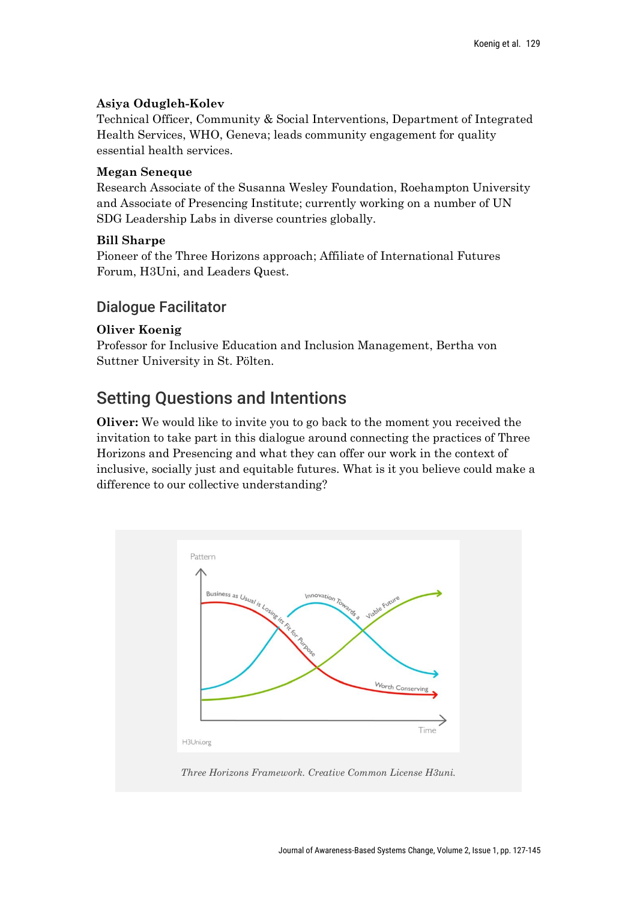## **Asiya Odugleh-Kolev**

Technical Officer, Community & Social Interventions, Department of Integrated Health Services, WHO, Geneva; leads community engagement for quality essential health services.

## **Megan Seneque**

Research Associate of the Susanna Wesley Foundation, Roehampton University and Associate of Presencing Institute; currently working on a number of UN SDG Leadership Labs in diverse countries globally.

## **Bill Sharpe**

Pioneer of the Three Horizons approach; Affiliate of International Futures Forum, H3Uni, and Leaders Quest.

## Dialogue Facilitator

## **Oliver Koenig**

Professor for Inclusive Education and Inclusion Management, Bertha von Suttner University in St. Pölten.

# Setting Questions and Intentions

**Oliver:** We would like to invite you to go back to the moment you received the invitation to take part in this dialogue around connecting the practices of Three Horizons and Presencing and what they can offer our work in the context of inclusive, socially just and equitable futures. What is it you believe could make a difference to our collective understanding?

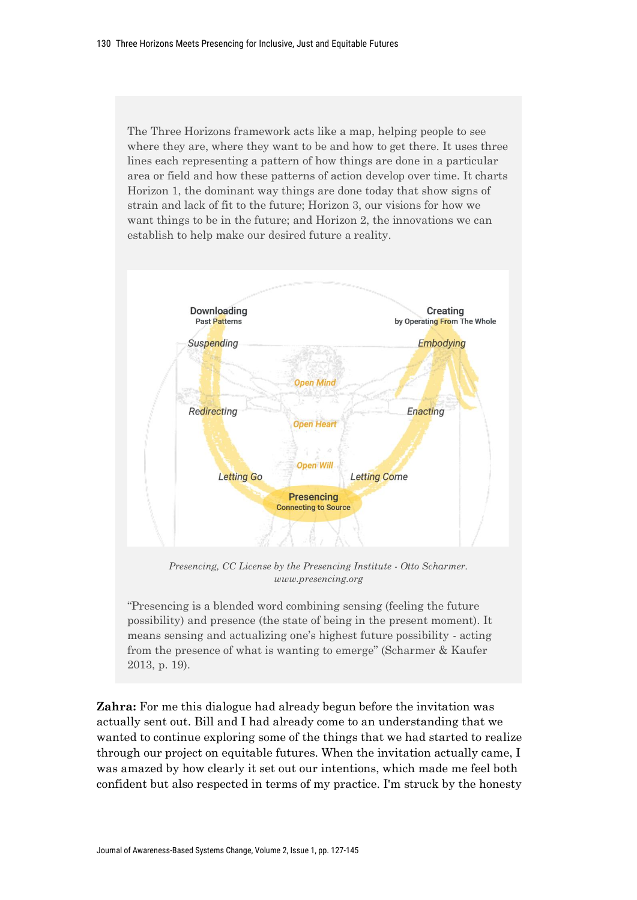The Three Horizons framework acts like a map, helping people to see where they are, where they want to be and how to get there. It uses three lines each representing a pattern of how things are done in a particular area or field and how these patterns of action develop over time. It charts Horizon 1, the dominant way things are done today that show signs of strain and lack of fit to the future; Horizon 3, our visions for how we want things to be in the future; and Horizon 2, the innovations we can establish to help make our desired future a reality.



*Presencing, CC License by the Presencing Institute - Otto Scharmer. www.presencing.org*

"Presencing is a blended word combining sensing (feeling the future possibility) and presence (the state of being in the present moment). It means sensing and actualizing one's highest future possibility - acting from the presence of what is wanting to emerge" (Scharmer & Kaufer 2013, p. 19).

**Zahra:** For me this dialogue had already begun before the invitation was actually sent out. Bill and I had already come to an understanding that we wanted to continue exploring some of the things that we had started to realize through our project on equitable futures. When the invitation actually came, I was amazed by how clearly it set out our intentions, which made me feel both confident but also respected in terms of my practice. I'm struck by the honesty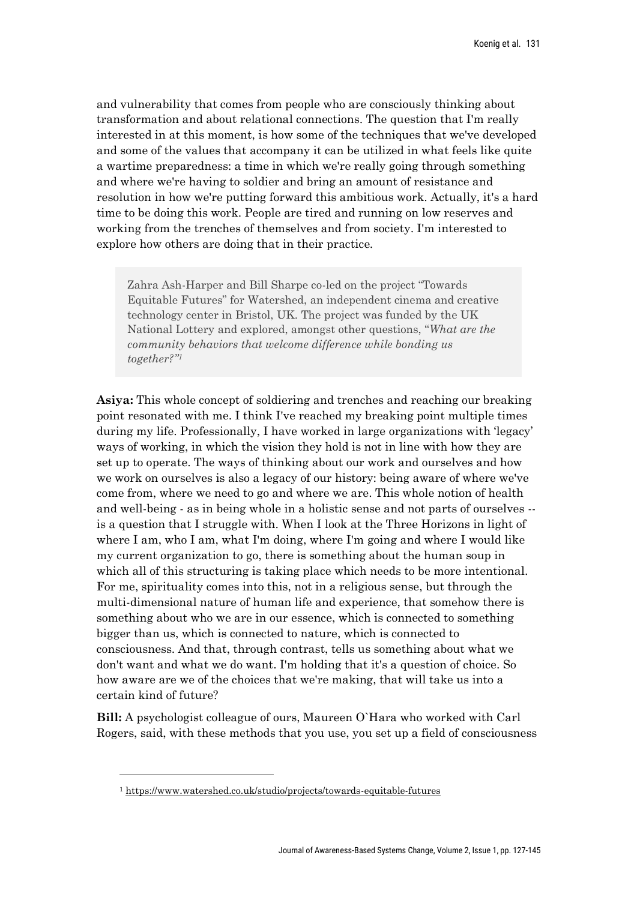and vulnerability that comes from people who are consciously thinking about transformation and about relational connections. The question that I'm really interested in at this moment, is how some of the techniques that we've developed and some of the values that accompany it can be utilized in what feels like quite a wartime preparedness: a time in which we're really going through something and where we're having to soldier and bring an amount of resistance and resolution in how we're putting forward this ambitious work. Actually, it's a hard time to be doing this work. People are tired and running on low reserves and working from the trenches of themselves and from society. I'm interested to explore how others are doing that in their practice.

Zahra Ash-Harper and Bill Sharpe co-led on the project "Towards Equitable Futures" for Watershed, an independent cinema and creative technology center in Bristol, UK. The project was funded by the UK National Lottery and explored, amongst other questions, "*What are the community behaviors that welcome difference while bonding us together?"<sup>1</sup>*

**Asiya:** This whole concept of soldiering and trenches and reaching our breaking point resonated with me. I think I've reached my breaking point multiple times during my life. Professionally, I have worked in large organizations with 'legacy' ways of working, in which the vision they hold is not in line with how they are set up to operate. The ways of thinking about our work and ourselves and how we work on ourselves is also a legacy of our history: being aware of where we've come from, where we need to go and where we are. This whole notion of health and well-being - as in being whole in a holistic sense and not parts of ourselves - is a question that I struggle with. When I look at the Three Horizons in light of where I am, who I am, what I'm doing, where I'm going and where I would like my current organization to go, there is something about the human soup in which all of this structuring is taking place which needs to be more intentional. For me, spirituality comes into this, not in a religious sense, but through the multi-dimensional nature of human life and experience, that somehow there is something about who we are in our essence, which is connected to something bigger than us, which is connected to nature, which is connected to consciousness. And that, through contrast, tells us something about what we don't want and what we do want. I'm holding that it's a question of choice. So how aware are we of the choices that we're making, that will take us into a certain kind of future?

**Bill:** A psychologist colleague of ours, Maureen O`Hara who worked with Carl Rogers, said, with these methods that you use, you set up a field of consciousness

<sup>1</sup> https://www.watershed.co.uk/studio/projects/towards-equitable-futures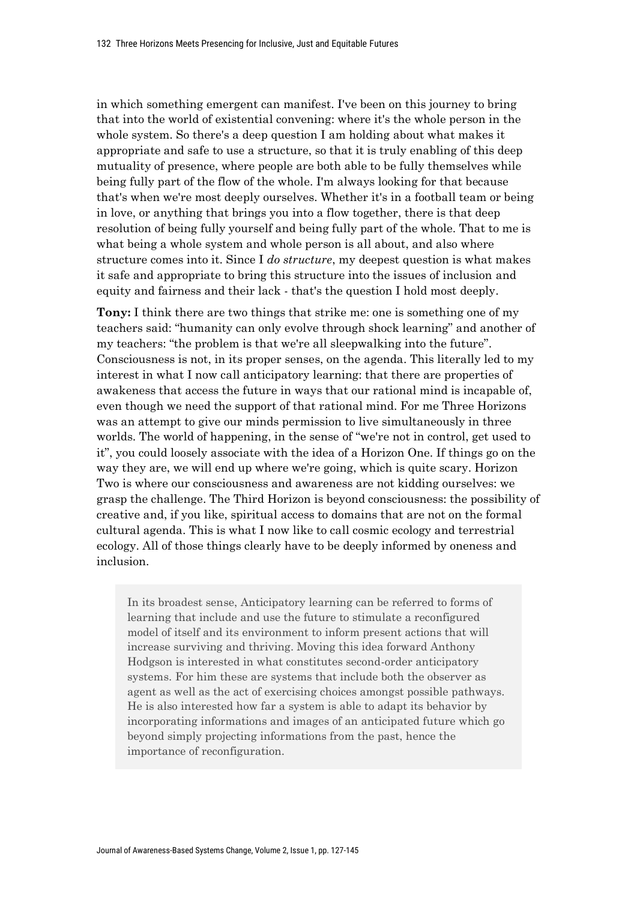in which something emergent can manifest. I've been on this journey to bring that into the world of existential convening: where it's the whole person in the whole system. So there's a deep question I am holding about what makes it appropriate and safe to use a structure, so that it is truly enabling of this deep mutuality of presence, where people are both able to be fully themselves while being fully part of the flow of the whole. I'm always looking for that because that's when we're most deeply ourselves. Whether it's in a football team or being in love, or anything that brings you into a flow together, there is that deep resolution of being fully yourself and being fully part of the whole. That to me is what being a whole system and whole person is all about, and also where structure comes into it. Since I *do structure*, my deepest question is what makes it safe and appropriate to bring this structure into the issues of inclusion and equity and fairness and their lack - that's the question I hold most deeply.

**Tony:** I think there are two things that strike me: one is something one of my teachers said: "humanity can only evolve through shock learning" and another of my teachers: "the problem is that we're all sleepwalking into the future". Consciousness is not, in its proper senses, on the agenda. This literally led to my interest in what I now call anticipatory learning: that there are properties of awakeness that access the future in ways that our rational mind is incapable of, even though we need the support of that rational mind. For me Three Horizons was an attempt to give our minds permission to live simultaneously in three worlds. The world of happening, in the sense of "we're not in control, get used to it", you could loosely associate with the idea of a Horizon One. If things go on the way they are, we will end up where we're going, which is quite scary. Horizon Two is where our consciousness and awareness are not kidding ourselves: we grasp the challenge. The Third Horizon is beyond consciousness: the possibility of creative and, if you like, spiritual access to domains that are not on the formal cultural agenda. This is what I now like to call cosmic ecology and terrestrial ecology. All of those things clearly have to be deeply informed by oneness and inclusion.

In its broadest sense, Anticipatory learning can be referred to forms of learning that include and use the future to stimulate a reconfigured model of itself and its environment to inform present actions that will increase surviving and thriving. Moving this idea forward Anthony Hodgson is interested in what constitutes second-order anticipatory systems. For him these are systems that include both the observer as agent as well as the act of exercising choices amongst possible pathways. He is also interested how far a system is able to adapt its behavior by incorporating informations and images of an anticipated future which go beyond simply projecting informations from the past, hence the importance of reconfiguration.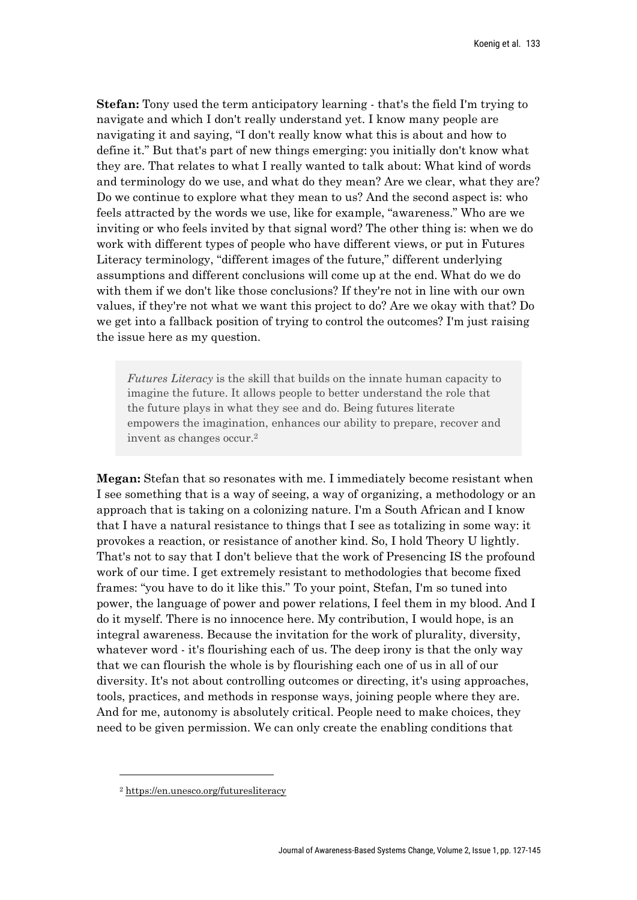**Stefan:** Tony used the term anticipatory learning - that's the field I'm trying to navigate and which I don't really understand yet. I know many people are navigating it and saying, "I don't really know what this is about and how to define it." But that's part of new things emerging: you initially don't know what they are. That relates to what I really wanted to talk about: What kind of words and terminology do we use, and what do they mean? Are we clear, what they are? Do we continue to explore what they mean to us? And the second aspect is: who feels attracted by the words we use, like for example, "awareness." Who are we inviting or who feels invited by that signal word? The other thing is: when we do work with different types of people who have different views, or put in Futures Literacy terminology, "different images of the future," different underlying assumptions and different conclusions will come up at the end. What do we do with them if we don't like those conclusions? If they're not in line with our own values, if they're not what we want this project to do? Are we okay with that? Do we get into a fallback position of trying to control the outcomes? I'm just raising the issue here as my question.

*Futures Literacy* is the skill that builds on the innate human capacity to imagine the future. It allows people to better understand the role that the future plays in what they see and do. Being futures literate empowers the imagination, enhances our ability to prepare, recover and invent as changes occur.2

**Megan:** Stefan that so resonates with me. I immediately become resistant when I see something that is a way of seeing, a way of organizing, a methodology or an approach that is taking on a colonizing nature. I'm a South African and I know that I have a natural resistance to things that I see as totalizing in some way: it provokes a reaction, or resistance of another kind. So, I hold Theory U lightly. That's not to say that I don't believe that the work of Presencing IS the profound work of our time. I get extremely resistant to methodologies that become fixed frames: "you have to do it like this." To your point, Stefan, I'm so tuned into power, the language of power and power relations, I feel them in my blood. And I do it myself. There is no innocence here. My contribution, I would hope, is an integral awareness. Because the invitation for the work of plurality, diversity, whatever word - it's flourishing each of us. The deep irony is that the only way that we can flourish the whole is by flourishing each one of us in all of our diversity. It's not about controlling outcomes or directing, it's using approaches, tools, practices, and methods in response ways, joining people where they are. And for me, autonomy is absolutely critical. People need to make choices, they need to be given permission. We can only create the enabling conditions that

<sup>2</sup> https://en.unesco.org/futuresliteracy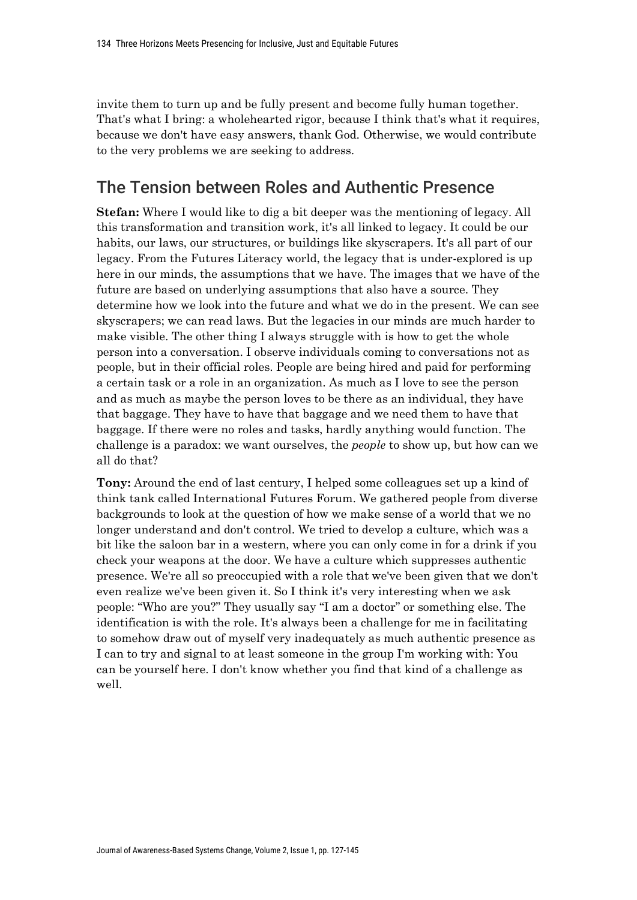invite them to turn up and be fully present and become fully human together. That's what I bring: a wholehearted rigor, because I think that's what it requires, because we don't have easy answers, thank God. Otherwise, we would contribute to the very problems we are seeking to address.

# The Tension between Roles and Authentic Presence

**Stefan:** Where I would like to dig a bit deeper was the mentioning of legacy. All this transformation and transition work, it's all linked to legacy. It could be our habits, our laws, our structures, or buildings like skyscrapers. It's all part of our legacy. From the Futures Literacy world, the legacy that is under-explored is up here in our minds, the assumptions that we have. The images that we have of the future are based on underlying assumptions that also have a source. They determine how we look into the future and what we do in the present. We can see skyscrapers; we can read laws. But the legacies in our minds are much harder to make visible. The other thing I always struggle with is how to get the whole person into a conversation. I observe individuals coming to conversations not as people, but in their official roles. People are being hired and paid for performing a certain task or a role in an organization. As much as I love to see the person and as much as maybe the person loves to be there as an individual, they have that baggage. They have to have that baggage and we need them to have that baggage. If there were no roles and tasks, hardly anything would function. The challenge is a paradox: we want ourselves, the *people* to show up, but how can we all do that?

**Tony:** Around the end of last century, I helped some colleagues set up a kind of think tank called International Futures Forum. We gathered people from diverse backgrounds to look at the question of how we make sense of a world that we no longer understand and don't control. We tried to develop a culture, which was a bit like the saloon bar in a western, where you can only come in for a drink if you check your weapons at the door. We have a culture which suppresses authentic presence. We're all so preoccupied with a role that we've been given that we don't even realize we've been given it. So I think it's very interesting when we ask people: "Who are you?" They usually say "I am a doctor" or something else. The identification is with the role. It's always been a challenge for me in facilitating to somehow draw out of myself very inadequately as much authentic presence as I can to try and signal to at least someone in the group I'm working with: You can be yourself here. I don't know whether you find that kind of a challenge as well.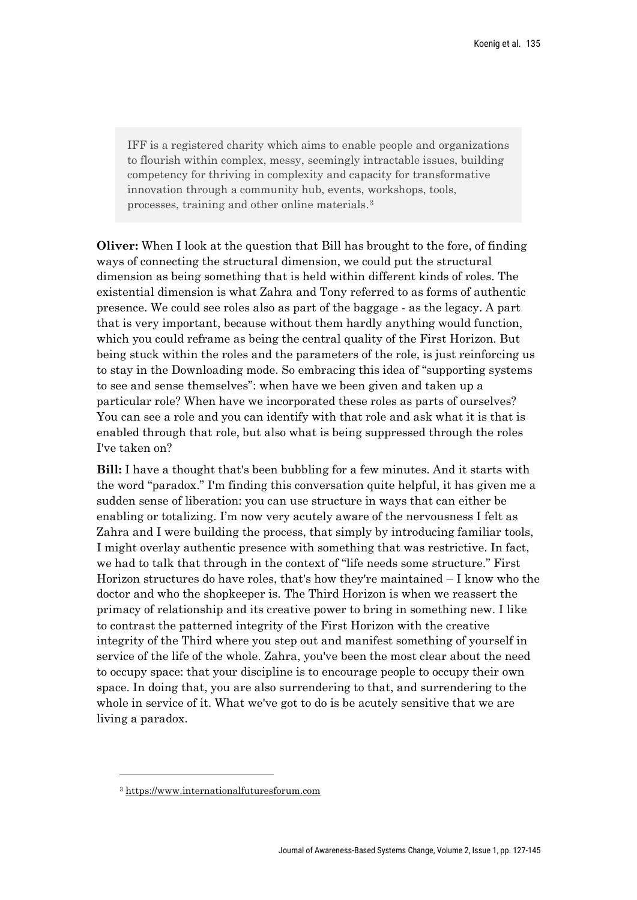IFF is a registered charity which aims to enable people and organizations to flourish within complex, messy, seemingly intractable issues, building competency for thriving in complexity and capacity for transformative innovation through a community hub, events, workshops, tools, processes, training and other online materials.3

**Oliver:** When I look at the question that Bill has brought to the fore, of finding ways of connecting the structural dimension, we could put the structural dimension as being something that is held within different kinds of roles. The existential dimension is what Zahra and Tony referred to as forms of authentic presence. We could see roles also as part of the baggage - as the legacy. A part that is very important, because without them hardly anything would function, which you could reframe as being the central quality of the First Horizon. But being stuck within the roles and the parameters of the role, is just reinforcing us to stay in the Downloading mode. So embracing this idea of "supporting systems to see and sense themselves": when have we been given and taken up a particular role? When have we incorporated these roles as parts of ourselves? You can see a role and you can identify with that role and ask what it is that is enabled through that role, but also what is being suppressed through the roles I've taken on?

**Bill:** I have a thought that's been bubbling for a few minutes. And it starts with the word "paradox." I'm finding this conversation quite helpful, it has given me a sudden sense of liberation: you can use structure in ways that can either be enabling or totalizing. I'm now very acutely aware of the nervousness I felt as Zahra and I were building the process, that simply by introducing familiar tools, I might overlay authentic presence with something that was restrictive. In fact, we had to talk that through in the context of "life needs some structure." First Horizon structures do have roles, that's how they're maintained – I know who the doctor and who the shopkeeper is. The Third Horizon is when we reassert the primacy of relationship and its creative power to bring in something new. I like to contrast the patterned integrity of the First Horizon with the creative integrity of the Third where you step out and manifest something of yourself in service of the life of the whole. Zahra, you've been the most clear about the need to occupy space: that your discipline is to encourage people to occupy their own space. In doing that, you are also surrendering to that, and surrendering to the whole in service of it. What we've got to do is be acutely sensitive that we are living a paradox.

<sup>3</sup> https://www.internationalfuturesforum.com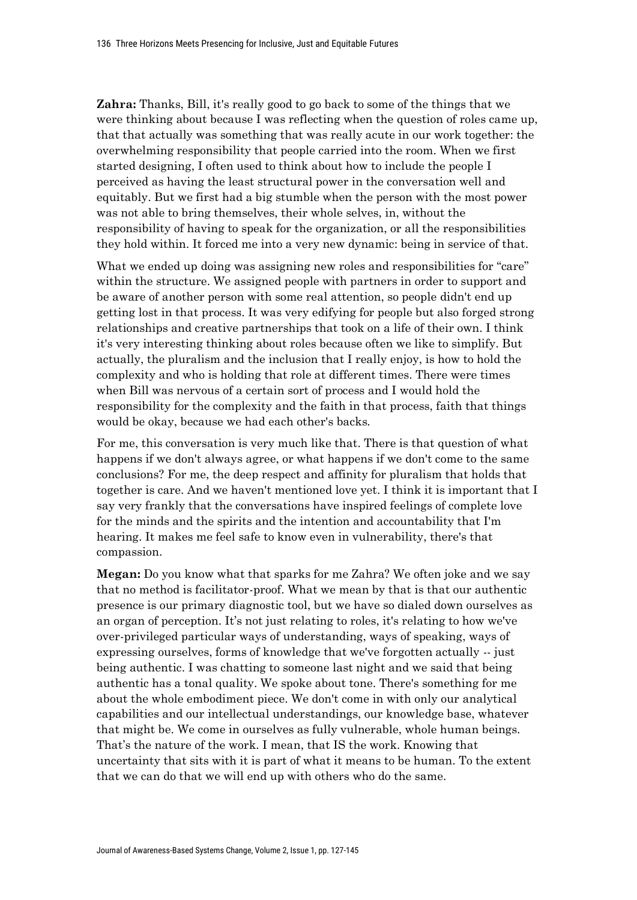**Zahra:** Thanks, Bill, it's really good to go back to some of the things that we were thinking about because I was reflecting when the question of roles came up, that that actually was something that was really acute in our work together: the overwhelming responsibility that people carried into the room. When we first started designing, I often used to think about how to include the people I perceived as having the least structural power in the conversation well and equitably. But we first had a big stumble when the person with the most power was not able to bring themselves, their whole selves, in, without the responsibility of having to speak for the organization, or all the responsibilities they hold within. It forced me into a very new dynamic: being in service of that.

What we ended up doing was assigning new roles and responsibilities for "care" within the structure. We assigned people with partners in order to support and be aware of another person with some real attention, so people didn't end up getting lost in that process. It was very edifying for people but also forged strong relationships and creative partnerships that took on a life of their own. I think it's very interesting thinking about roles because often we like to simplify. But actually, the pluralism and the inclusion that I really enjoy, is how to hold the complexity and who is holding that role at different times. There were times when Bill was nervous of a certain sort of process and I would hold the responsibility for the complexity and the faith in that process, faith that things would be okay, because we had each other's backs.

For me, this conversation is very much like that. There is that question of what happens if we don't always agree, or what happens if we don't come to the same conclusions? For me, the deep respect and affinity for pluralism that holds that together is care. And we haven't mentioned love yet. I think it is important that I say very frankly that the conversations have inspired feelings of complete love for the minds and the spirits and the intention and accountability that I'm hearing. It makes me feel safe to know even in vulnerability, there's that compassion.

**Megan:** Do you know what that sparks for me Zahra? We often joke and we say that no method is facilitator-proof. What we mean by that is that our authentic presence is our primary diagnostic tool, but we have so dialed down ourselves as an organ of perception. It's not just relating to roles, it's relating to how we've over-privileged particular ways of understanding, ways of speaking, ways of expressing ourselves, forms of knowledge that we've forgotten actually -- just being authentic. I was chatting to someone last night and we said that being authentic has a tonal quality. We spoke about tone. There's something for me about the whole embodiment piece. We don't come in with only our analytical capabilities and our intellectual understandings, our knowledge base, whatever that might be. We come in ourselves as fully vulnerable, whole human beings. That's the nature of the work. I mean, that IS the work. Knowing that uncertainty that sits with it is part of what it means to be human. To the extent that we can do that we will end up with others who do the same.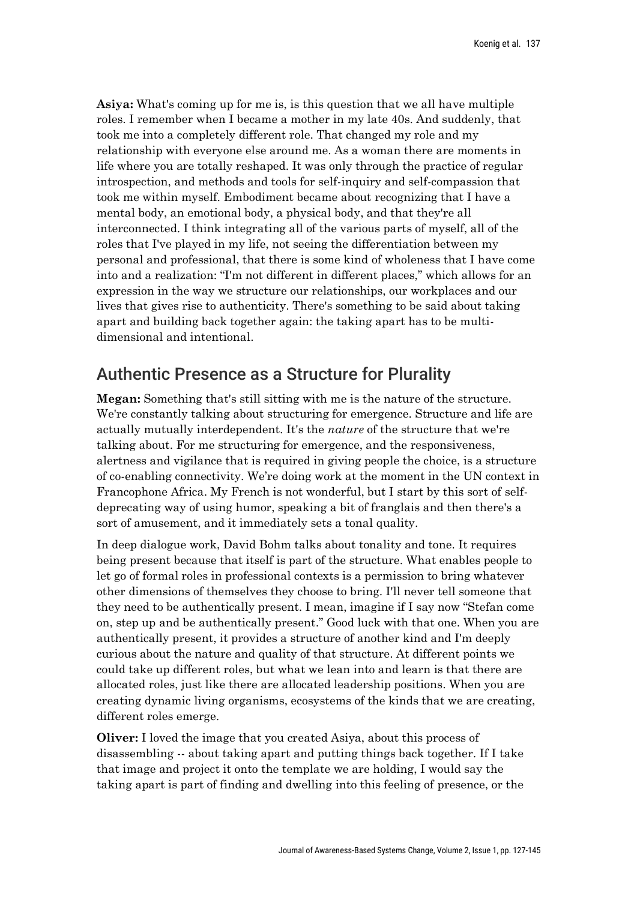**Asiya:** What's coming up for me is, is this question that we all have multiple roles. I remember when I became a mother in my late 40s. And suddenly, that took me into a completely different role. That changed my role and my relationship with everyone else around me. As a woman there are moments in life where you are totally reshaped. It was only through the practice of regular introspection, and methods and tools for self-inquiry and self-compassion that took me within myself. Embodiment became about recognizing that I have a mental body, an emotional body, a physical body, and that they're all interconnected. I think integrating all of the various parts of myself, all of the roles that I've played in my life, not seeing the differentiation between my personal and professional, that there is some kind of wholeness that I have come into and a realization: "I'm not different in different places," which allows for an expression in the way we structure our relationships, our workplaces and our lives that gives rise to authenticity. There's something to be said about taking apart and building back together again: the taking apart has to be multidimensional and intentional.

# Authentic Presence as a Structure for Plurality

**Megan:** Something that's still sitting with me is the nature of the structure. We're constantly talking about structuring for emergence. Structure and life are actually mutually interdependent. It's the *nature* of the structure that we're talking about. For me structuring for emergence, and the responsiveness, alertness and vigilance that is required in giving people the choice, is a structure of co-enabling connectivity. We're doing work at the moment in the UN context in Francophone Africa. My French is not wonderful, but I start by this sort of selfdeprecating way of using humor, speaking a bit of franglais and then there's a sort of amusement, and it immediately sets a tonal quality.

In deep dialogue work, David Bohm talks about tonality and tone. It requires being present because that itself is part of the structure. What enables people to let go of formal roles in professional contexts is a permission to bring whatever other dimensions of themselves they choose to bring. I'll never tell someone that they need to be authentically present. I mean, imagine if I say now "Stefan come on, step up and be authentically present." Good luck with that one. When you are authentically present, it provides a structure of another kind and I'm deeply curious about the nature and quality of that structure. At different points we could take up different roles, but what we lean into and learn is that there are allocated roles, just like there are allocated leadership positions. When you are creating dynamic living organisms, ecosystems of the kinds that we are creating, different roles emerge.

**Oliver:** I loved the image that you created Asiya, about this process of disassembling -- about taking apart and putting things back together. If I take that image and project it onto the template we are holding, I would say the taking apart is part of finding and dwelling into this feeling of presence, or the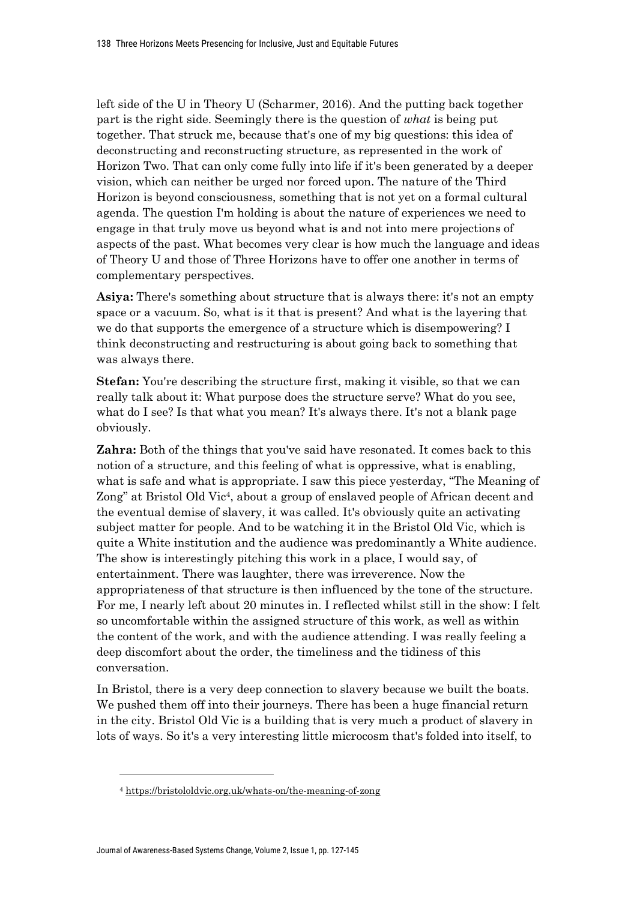left side of the U in Theory U (Scharmer, 2016). And the putting back together part is the right side. Seemingly there is the question of *what* is being put together. That struck me, because that's one of my big questions: this idea of deconstructing and reconstructing structure, as represented in the work of Horizon Two. That can only come fully into life if it's been generated by a deeper vision, which can neither be urged nor forced upon. The nature of the Third Horizon is beyond consciousness, something that is not yet on a formal cultural agenda. The question I'm holding is about the nature of experiences we need to engage in that truly move us beyond what is and not into mere projections of aspects of the past. What becomes very clear is how much the language and ideas of Theory U and those of Three Horizons have to offer one another in terms of complementary perspectives.

**Asiya:** There's something about structure that is always there: it's not an empty space or a vacuum. So, what is it that is present? And what is the layering that we do that supports the emergence of a structure which is disempowering? I think deconstructing and restructuring is about going back to something that was always there.

**Stefan:** You're describing the structure first, making it visible, so that we can really talk about it: What purpose does the structure serve? What do you see, what do I see? Is that what you mean? It's always there. It's not a blank page obviously.

**Zahra:** Both of the things that you've said have resonated. It comes back to this notion of a structure, and this feeling of what is oppressive, what is enabling, what is safe and what is appropriate. I saw this piece yesterday, "The Meaning of Zong" at Bristol Old Vic<sup>4</sup>, about a group of enslaved people of African decent and the eventual demise of slavery, it was called. It's obviously quite an activating subject matter for people. And to be watching it in the Bristol Old Vic, which is quite a White institution and the audience was predominantly a White audience. The show is interestingly pitching this work in a place, I would say, of entertainment. There was laughter, there was irreverence. Now the appropriateness of that structure is then influenced by the tone of the structure. For me, I nearly left about 20 minutes in. I reflected whilst still in the show: I felt so uncomfortable within the assigned structure of this work, as well as within the content of the work, and with the audience attending. I was really feeling a deep discomfort about the order, the timeliness and the tidiness of this conversation.

In Bristol, there is a very deep connection to slavery because we built the boats. We pushed them off into their journeys. There has been a huge financial return in the city. Bristol Old Vic is a building that is very much a product of slavery in lots of ways. So it's a very interesting little microcosm that's folded into itself, to

<sup>4</sup> https://bristololdvic.org.uk/whats-on/the-meaning-of-zong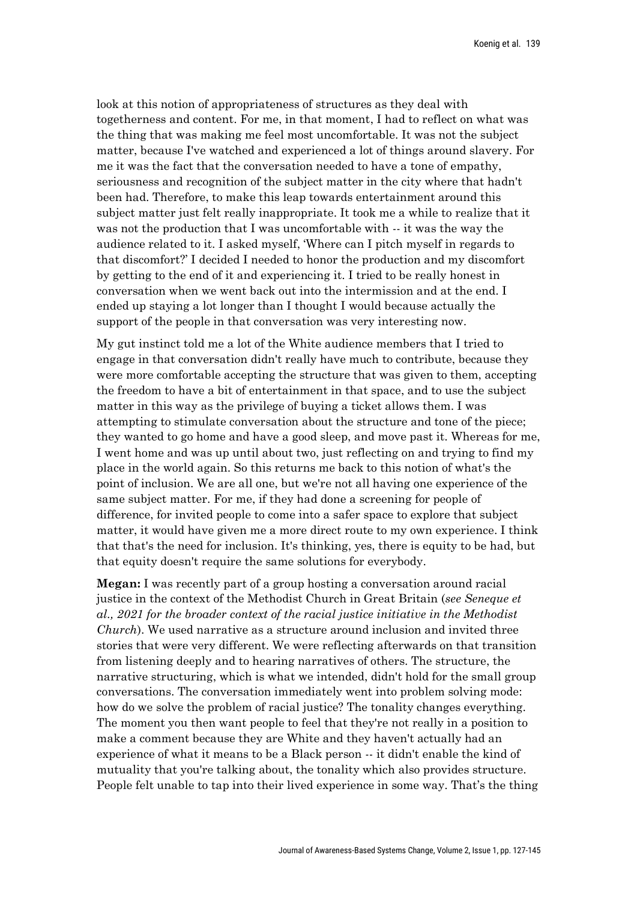look at this notion of appropriateness of structures as they deal with togetherness and content. For me, in that moment, I had to reflect on what was the thing that was making me feel most uncomfortable. It was not the subject matter, because I've watched and experienced a lot of things around slavery. For me it was the fact that the conversation needed to have a tone of empathy, seriousness and recognition of the subject matter in the city where that hadn't been had. Therefore, to make this leap towards entertainment around this subject matter just felt really inappropriate. It took me a while to realize that it was not the production that I was uncomfortable with  $-$  it was the way the audience related to it. I asked myself, 'Where can I pitch myself in regards to that discomfort?' I decided I needed to honor the production and my discomfort by getting to the end of it and experiencing it. I tried to be really honest in conversation when we went back out into the intermission and at the end. I ended up staying a lot longer than I thought I would because actually the support of the people in that conversation was very interesting now.

My gut instinct told me a lot of the White audience members that I tried to engage in that conversation didn't really have much to contribute, because they were more comfortable accepting the structure that was given to them, accepting the freedom to have a bit of entertainment in that space, and to use the subject matter in this way as the privilege of buying a ticket allows them. I was attempting to stimulate conversation about the structure and tone of the piece; they wanted to go home and have a good sleep, and move past it. Whereas for me, I went home and was up until about two, just reflecting on and trying to find my place in the world again. So this returns me back to this notion of what's the point of inclusion. We are all one, but we're not all having one experience of the same subject matter. For me, if they had done a screening for people of difference, for invited people to come into a safer space to explore that subject matter, it would have given me a more direct route to my own experience. I think that that's the need for inclusion. It's thinking, yes, there is equity to be had, but that equity doesn't require the same solutions for everybody.

**Megan:** I was recently part of a group hosting a conversation around racial justice in the context of the Methodist Church in Great Britain (*see Seneque et al., 2021 for the broader context of the racial justice initiative in the Methodist Church*). We used narrative as a structure around inclusion and invited three stories that were very different. We were reflecting afterwards on that transition from listening deeply and to hearing narratives of others. The structure, the narrative structuring, which is what we intended, didn't hold for the small group conversations. The conversation immediately went into problem solving mode: how do we solve the problem of racial justice? The tonality changes everything. The moment you then want people to feel that they're not really in a position to make a comment because they are White and they haven't actually had an experience of what it means to be a Black person -- it didn't enable the kind of mutuality that you're talking about, the tonality which also provides structure. People felt unable to tap into their lived experience in some way. That's the thing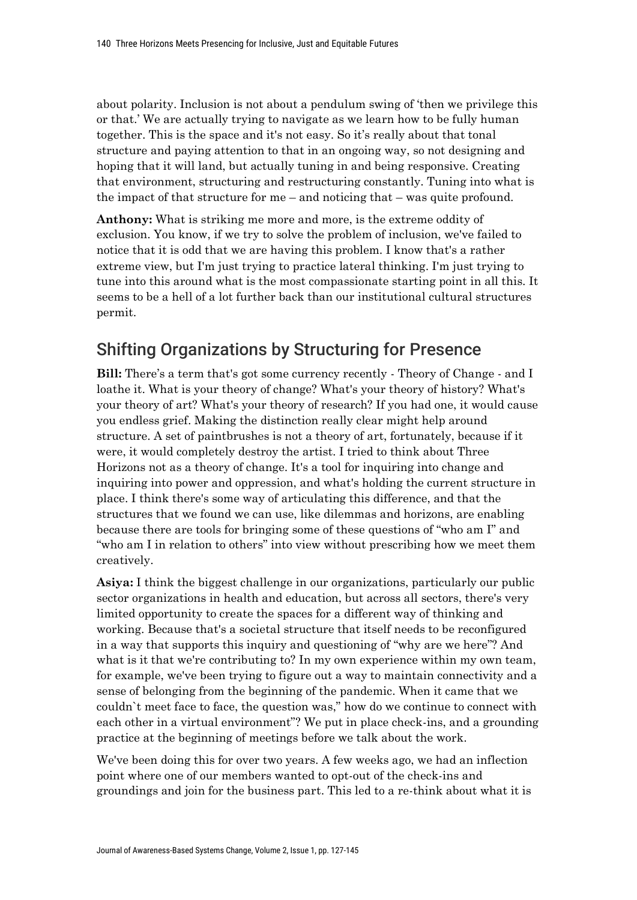about polarity. Inclusion is not about a pendulum swing of 'then we privilege this or that.' We are actually trying to navigate as we learn how to be fully human together. This is the space and it's not easy. So it's really about that tonal structure and paying attention to that in an ongoing way, so not designing and hoping that it will land, but actually tuning in and being responsive. Creating that environment, structuring and restructuring constantly. Tuning into what is the impact of that structure for me – and noticing that – was quite profound.

**Anthony:** What is striking me more and more, is the extreme oddity of exclusion. You know, if we try to solve the problem of inclusion, we've failed to notice that it is odd that we are having this problem. I know that's a rather extreme view, but I'm just trying to practice lateral thinking. I'm just trying to tune into this around what is the most compassionate starting point in all this. It seems to be a hell of a lot further back than our institutional cultural structures permit.

# Shifting Organizations by Structuring for Presence

**Bill:** There's a term that's got some currency recently - Theory of Change - and I loathe it. What is your theory of change? What's your theory of history? What's your theory of art? What's your theory of research? If you had one, it would cause you endless grief. Making the distinction really clear might help around structure. A set of paintbrushes is not a theory of art, fortunately, because if it were, it would completely destroy the artist. I tried to think about Three Horizons not as a theory of change. It's a tool for inquiring into change and inquiring into power and oppression, and what's holding the current structure in place. I think there's some way of articulating this difference, and that the structures that we found we can use, like dilemmas and horizons, are enabling because there are tools for bringing some of these questions of "who am I" and "who am I in relation to others" into view without prescribing how we meet them creatively.

**Asiya:** I think the biggest challenge in our organizations, particularly our public sector organizations in health and education, but across all sectors, there's very limited opportunity to create the spaces for a different way of thinking and working. Because that's a societal structure that itself needs to be reconfigured in a way that supports this inquiry and questioning of "why are we here"? And what is it that we're contributing to? In my own experience within my own team, for example, we've been trying to figure out a way to maintain connectivity and a sense of belonging from the beginning of the pandemic. When it came that we couldn`t meet face to face, the question was," how do we continue to connect with each other in a virtual environment"? We put in place check-ins, and a grounding practice at the beginning of meetings before we talk about the work.

We've been doing this for over two years. A few weeks ago, we had an inflection point where one of our members wanted to opt-out of the check-ins and groundings and join for the business part. This led to a re-think about what it is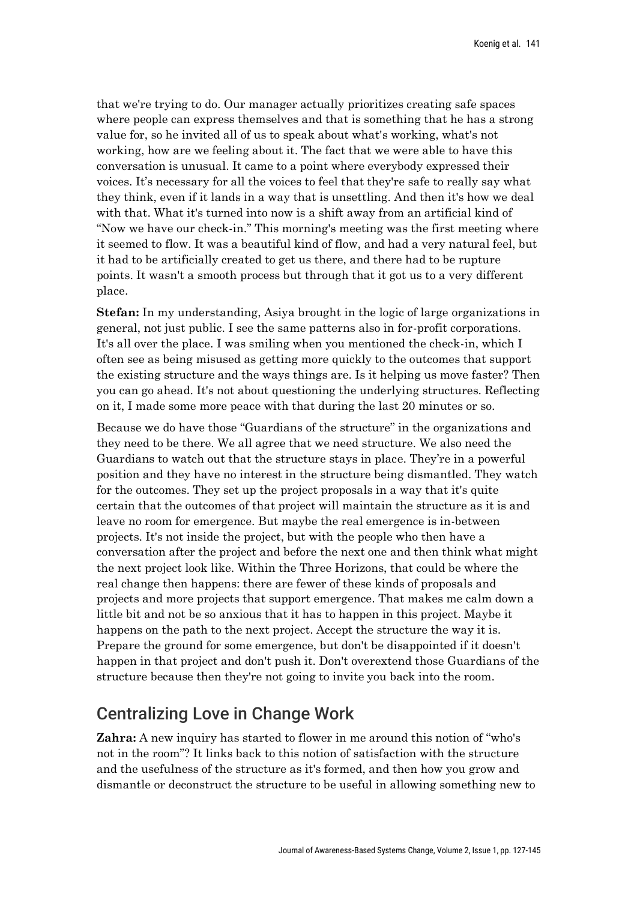that we're trying to do. Our manager actually prioritizes creating safe spaces where people can express themselves and that is something that he has a strong value for, so he invited all of us to speak about what's working, what's not working, how are we feeling about it. The fact that we were able to have this conversation is unusual. It came to a point where everybody expressed their voices. It's necessary for all the voices to feel that they're safe to really say what they think, even if it lands in a way that is unsettling. And then it's how we deal with that. What it's turned into now is a shift away from an artificial kind of "Now we have our check-in." This morning's meeting was the first meeting where it seemed to flow. It was a beautiful kind of flow, and had a very natural feel, but it had to be artificially created to get us there, and there had to be rupture points. It wasn't a smooth process but through that it got us to a very different place.

**Stefan:** In my understanding, Asiya brought in the logic of large organizations in general, not just public. I see the same patterns also in for-profit corporations. It's all over the place. I was smiling when you mentioned the check-in, which I often see as being misused as getting more quickly to the outcomes that support the existing structure and the ways things are. Is it helping us move faster? Then you can go ahead. It's not about questioning the underlying structures. Reflecting on it, I made some more peace with that during the last 20 minutes or so.

Because we do have those "Guardians of the structure" in the organizations and they need to be there. We all agree that we need structure. We also need the Guardians to watch out that the structure stays in place. They're in a powerful position and they have no interest in the structure being dismantled. They watch for the outcomes. They set up the project proposals in a way that it's quite certain that the outcomes of that project will maintain the structure as it is and leave no room for emergence. But maybe the real emergence is in-between projects. It's not inside the project, but with the people who then have a conversation after the project and before the next one and then think what might the next project look like. Within the Three Horizons, that could be where the real change then happens: there are fewer of these kinds of proposals and projects and more projects that support emergence. That makes me calm down a little bit and not be so anxious that it has to happen in this project. Maybe it happens on the path to the next project. Accept the structure the way it is. Prepare the ground for some emergence, but don't be disappointed if it doesn't happen in that project and don't push it. Don't overextend those Guardians of the structure because then they're not going to invite you back into the room.

# Centralizing Love in Change Work

**Zahra:** A new inquiry has started to flower in me around this notion of "who's not in the room"? It links back to this notion of satisfaction with the structure and the usefulness of the structure as it's formed, and then how you grow and dismantle or deconstruct the structure to be useful in allowing something new to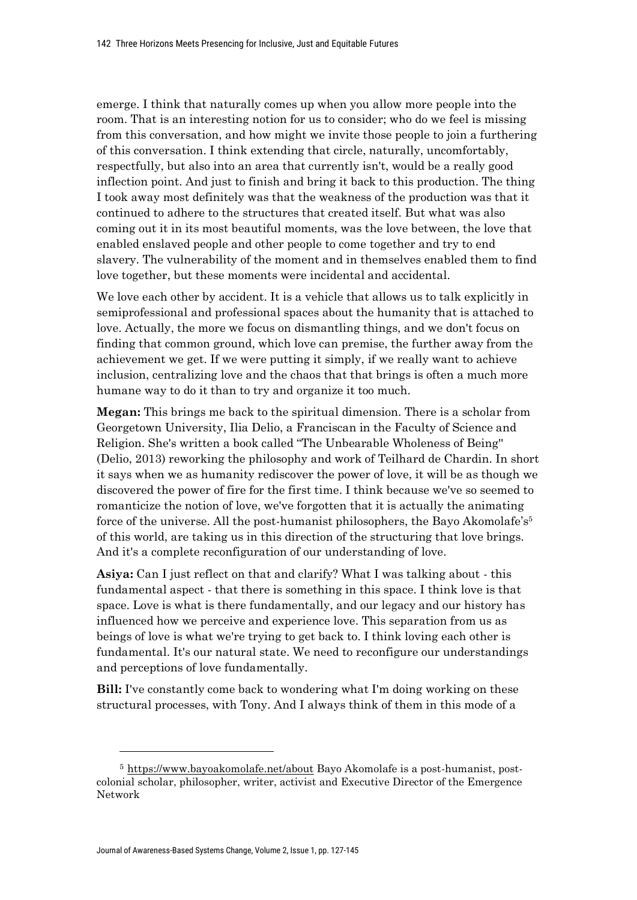emerge. I think that naturally comes up when you allow more people into the room. That is an interesting notion for us to consider; who do we feel is missing from this conversation, and how might we invite those people to join a furthering of this conversation. I think extending that circle, naturally, uncomfortably, respectfully, but also into an area that currently isn't, would be a really good inflection point. And just to finish and bring it back to this production. The thing I took away most definitely was that the weakness of the production was that it continued to adhere to the structures that created itself. But what was also coming out it in its most beautiful moments, was the love between, the love that enabled enslaved people and other people to come together and try to end slavery. The vulnerability of the moment and in themselves enabled them to find love together, but these moments were incidental and accidental.

We love each other by accident. It is a vehicle that allows us to talk explicitly in semiprofessional and professional spaces about the humanity that is attached to love. Actually, the more we focus on dismantling things, and we don't focus on finding that common ground, which love can premise, the further away from the achievement we get. If we were putting it simply, if we really want to achieve inclusion, centralizing love and the chaos that that brings is often a much more humane way to do it than to try and organize it too much.

**Megan:** This brings me back to the spiritual dimension. There is a scholar from Georgetown University, Ilia Delio, a Franciscan in the Faculty of Science and Religion. She's written a book called "The Unbearable Wholeness of Being'' (Delio, 2013) reworking the philosophy and work of Teilhard de Chardin. In short it says when we as humanity rediscover the power of love, it will be as though we discovered the power of fire for the first time. I think because we've so seemed to romanticize the notion of love, we've forgotten that it is actually the animating force of the universe. All the post-humanist philosophers, the Bayo Akomolafe's<sup>5</sup> of this world, are taking us in this direction of the structuring that love brings. And it's a complete reconfiguration of our understanding of love.

**Asiya:** Can I just reflect on that and clarify? What I was talking about - this fundamental aspect - that there is something in this space. I think love is that space. Love is what is there fundamentally, and our legacy and our history has influenced how we perceive and experience love. This separation from us as beings of love is what we're trying to get back to. I think loving each other is fundamental. It's our natural state. We need to reconfigure our understandings and perceptions of love fundamentally.

**Bill:** I've constantly come back to wondering what I'm doing working on these structural processes, with Tony. And I always think of them in this mode of a

<sup>5</sup> https://www.bayoakomolafe.net/about Bayo Akomolafe is a post-humanist, postcolonial scholar, philosopher, writer, activist and Executive Director of the Emergence Network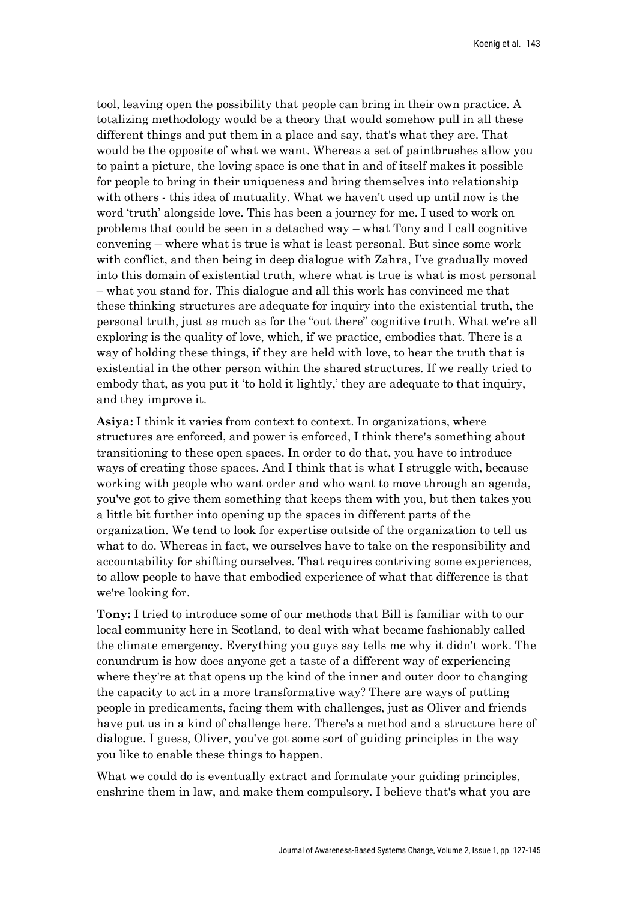tool, leaving open the possibility that people can bring in their own practice. A totalizing methodology would be a theory that would somehow pull in all these different things and put them in a place and say, that's what they are. That would be the opposite of what we want. Whereas a set of paintbrushes allow you to paint a picture, the loving space is one that in and of itself makes it possible for people to bring in their uniqueness and bring themselves into relationship with others - this idea of mutuality. What we haven't used up until now is the word 'truth' alongside love. This has been a journey for me. I used to work on problems that could be seen in a detached way – what Tony and I call cognitive convening – where what is true is what is least personal. But since some work with conflict, and then being in deep dialogue with Zahra, I've gradually moved into this domain of existential truth, where what is true is what is most personal – what you stand for. This dialogue and all this work has convinced me that these thinking structures are adequate for inquiry into the existential truth, the personal truth, just as much as for the "out there" cognitive truth. What we're all exploring is the quality of love, which, if we practice, embodies that. There is a way of holding these things, if they are held with love, to hear the truth that is existential in the other person within the shared structures. If we really tried to embody that, as you put it 'to hold it lightly,' they are adequate to that inquiry, and they improve it.

**Asiya:** I think it varies from context to context. In organizations, where structures are enforced, and power is enforced, I think there's something about transitioning to these open spaces. In order to do that, you have to introduce ways of creating those spaces. And I think that is what I struggle with, because working with people who want order and who want to move through an agenda, you've got to give them something that keeps them with you, but then takes you a little bit further into opening up the spaces in different parts of the organization. We tend to look for expertise outside of the organization to tell us what to do. Whereas in fact, we ourselves have to take on the responsibility and accountability for shifting ourselves. That requires contriving some experiences, to allow people to have that embodied experience of what that difference is that we're looking for.

**Tony:** I tried to introduce some of our methods that Bill is familiar with to our local community here in Scotland, to deal with what became fashionably called the climate emergency. Everything you guys say tells me why it didn't work. The conundrum is how does anyone get a taste of a different way of experiencing where they're at that opens up the kind of the inner and outer door to changing the capacity to act in a more transformative way? There are ways of putting people in predicaments, facing them with challenges, just as Oliver and friends have put us in a kind of challenge here. There's a method and a structure here of dialogue. I guess, Oliver, you've got some sort of guiding principles in the way you like to enable these things to happen.

What we could do is eventually extract and formulate your guiding principles, enshrine them in law, and make them compulsory. I believe that's what you are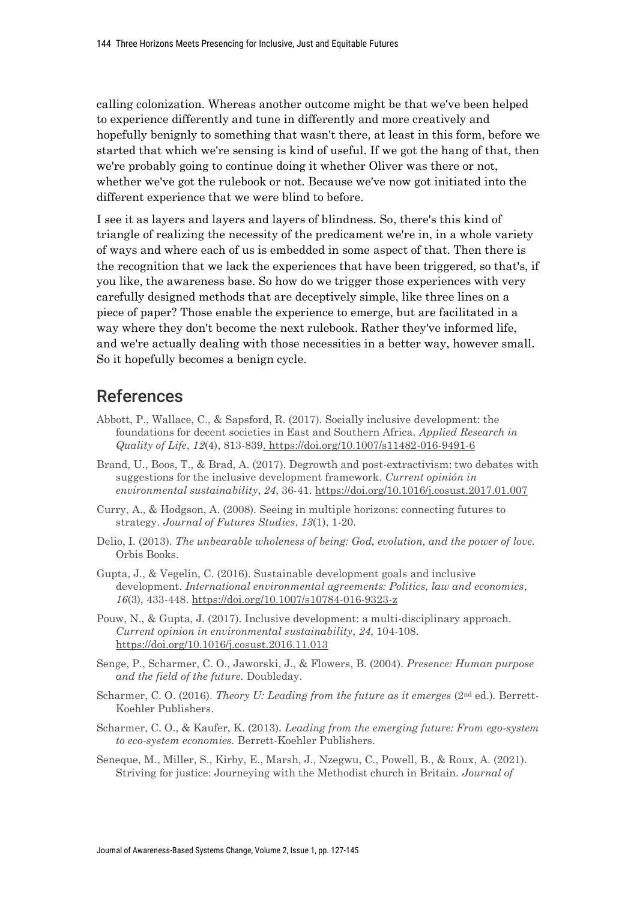calling colonization. Whereas another outcome might be that we've been helped to experience differently and tune in differently and more creatively and hopefully benignly to something that wasn't there, at least in this form, before we started that which we're sensing is kind of useful. If we got the hang of that, then we're probably going to continue doing it whether Oliver was there or not, whether we've got the rulebook or not. Because we've now got initiated into the different experience that we were blind to before.

I see it as layers and layers and layers of blindness. So, there's this kind of triangle of realizing the necessity of the predicament we're in, in a whole variety of ways and where each of us is embedded in some aspect of that. Then there is the recognition that we lack the experiences that have been triggered, so that's, if you like, the awareness base. So how do we trigger those experiences with very carefully designed methods that are deceptively simple, like three lines on a piece of paper? Those enable the experience to emerge, but are facilitated in a way where they don't become the next rulebook. Rather they've informed life, and we're actually dealing with those necessities in a better way, however small. So it hopefully becomes a benign cycle.

## References

- Abbott, P., Wallace, C., & Sapsford, R. (2017). Socially inclusive development: the foundations for decent societies in East and Southern Africa. *Applied Research in Quality of Life*, *12*(4), 813-839. https://doi.org/10.1007/s11482-016-9491-6
- Brand, U., Boos, T., & Brad, A. (2017). Degrowth and post-extractivism: two debates with suggestions for the inclusive development framework. *Current opinión in environmental sustainability*, *24*, 36-41. https://doi.org/10.1016/j.cosust.2017.01.007
- Curry, A., & Hodgson, A. (2008). Seeing in multiple horizons: connecting futures to strategy. *Journal of Futures Studies*, *13*(1), 1-20.
- Delio, I. (2013). *The unbearable wholeness of being: God, evolution, and the power of love.*  Orbis Books.
- Gupta, J., & Vegelin, C. (2016). Sustainable development goals and inclusive development. *International environmental agreements: Politics, law and economics*, *16*(3), 433-448. https://doi.org/10.1007/s10784-016-9323-z
- Pouw, N., & Gupta, J. (2017). Inclusive development: a multi-disciplinary approach. *Current opinion in environmental sustainability*, *24*, 104-108. https://doi.org/10.1016/j.cosust.2016.11.013
- Senge, P., Scharmer, C. O., Jaworski, J., & Flowers, B. (2004). *Presence: Human purpose and the field of the future.* Doubleday.
- Scharmer, C. O. (2016). *Theory U: Leading from the future as it emerges* (2<sup>nd</sup> ed.). Berrett-Koehler Publishers.
- Scharmer, C. O., & Kaufer, K. (2013). *Leading from the emerging future: From ego-system to eco-system economies.* Berrett-Koehler Publishers.
- Seneque, M., Miller, S., Kirby, E., Marsh, J., Nzegwu, C., Powell, B., & Roux, A. (2021). Striving for justice: Journeying with the Methodist church in Britain. *Journal of*